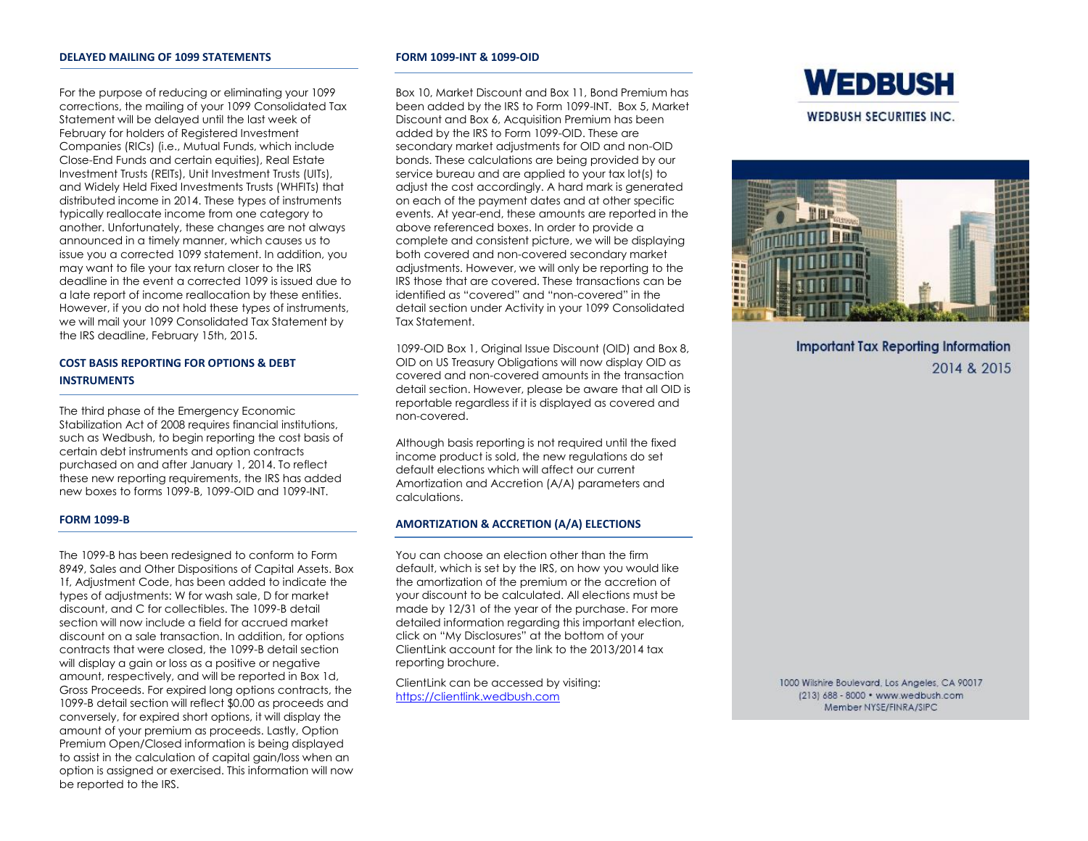For the purpose of reducing or eliminating your 1099 corrections, the mailing of your 1099 Consolidated Tax Statement will be delayed until the last week of February for holders of Registered Investment Companies (RICs) (i.e., Mutual Funds, which include Close-End Funds and certain equities), Real Estate Investment Trusts (REITs), Unit Investment Trusts (UITs), and Widely Held Fixed Investments Trusts (WHFITs) that distributed income in 2014. These types of instruments typically reallocate income from one category to another. Unfortunately, these changes are not always announced in a timely manner, which causes us to issue you a corrected 1099 statement. In addition, you may want to file your tax return closer to the IRS deadline in the event a corrected 1099 is issued due to a late report of income reallocation by these entities. However, if you do not hold these types of instruments, we will mail your 1099 Consolidated Tax Statement by the IRS deadline, February 15th, 2015.

# **COST BASIS REPORTING FOR OPTIONS & DEBT INSTRUMENTS**

The third phase of the Emergency Economic Stabilization Act of 2008 requires financial institutions, such as Wedbush, to begin reporting the cost basis of certain debt instruments and option contracts purchased on and after January 1, 2014. To reflect these new reporting requirements, the IRS has added new boxes to forms 1099-B, 1099-OID and 1099-INT.

# **FORM 1099-B**

The 1099-B has been redesigned to conform to Form 8949, Sales and Other Dispositions of Capital Assets. Box 1f, Adjustment Code, has been added to indicate the types of adjustments: W for wash sale, D for market discount, and C for collectibles. The 1099-B detail section will now include a field for accrued market discount on a sale transaction. In addition, for options contracts that were closed, the 1099-B detail section will display a gain or loss as a positive or negative amount, respectively, and will be reported in Box 1d, Gross Proceeds. For expired long options contracts, the 1099-B detail section will reflect \$0.00 as proceeds and conversely, for expired short options, it will display the amount of your premium as proceeds. Lastly, Option Premium Open/Closed information is being displayed to assist in the calculation of capital gain/loss when an option is assigned or exercised. This information will now be reported to the IRS.

#### **FORM 1099-INT & 1099-OID**

Box 10, Market Discount and Box 11, Bond Premium has been added by the IRS to Form 1099-INT. Box 5, Market Discount and Box 6, Acquisition Premium has been added by the IRS to Form 1099-OID. These are secondary market adjustments for OID and non-OID bonds. These calculations are being provided by our service bureau and are applied to your tax lot(s) to adjust the cost accordingly. A hard mark is generated on each of the payment dates and at other specific events. At year-end, these amounts are reported in the above referenced boxes. In order to provide a complete and consistent picture, we will be displaying both covered and non-covered secondary market adjustments. However, we will only be reporting to the IRS those that are covered. These transactions can be identified as "covered" and "non-covered" in the detail section under Activity in your 1099 Consolidated Tax Statement.

1099-OID Box 1, Original Issue Discount (OID) and Box 8, OID on US Treasury Obligations will now display OID as covered and non-covered amounts in the transaction detail section. However, please be aware that all OID is reportable regardless if it is displayed as covered and non-covered.

Although basis reporting is not required until the fixed income product is sold, the new regulations do set default elections which will affect our current Amortization and Accretion (A/A) parameters and calculations.

# **AMORTIZATION & ACCRETION (A/A) ELECTIONS**

You can choose an election other than the firm default, which is set by the IRS, on how you would like the amortization of the premium or the accretion of your discount to be calculated. All elections must be made by 12/31 of the year of the purchase. For more detailed information regarding this important election, click on "My Disclosures" at the bottom of your ClientLink account for the link to the 2013/2014 tax reporting brochure.

ClientLink can be accessed by visiting: [https://clientlink.wedbush.com](https://clientlink.wedbush.com/)





**Important Tax Reporting Information** 2014 & 2015

1000 Wilshire Boulevard, Los Angeles, CA 90017 (213) 688 - 8000 · www.wedbush.com Member NYSE/FINRA/SIPC